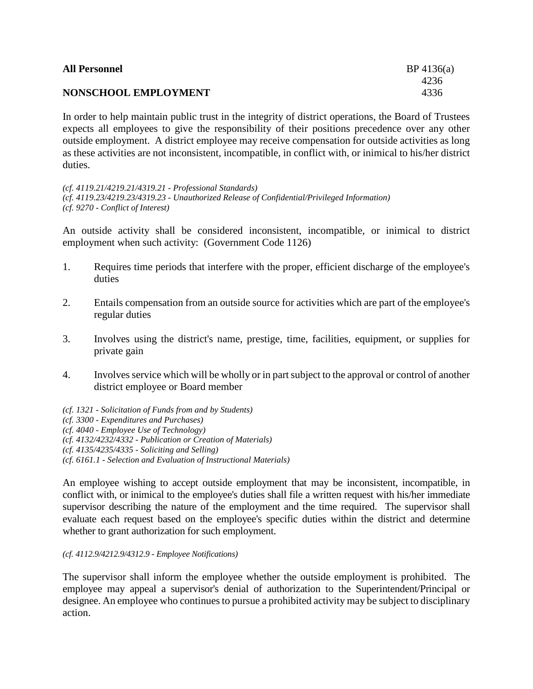| <b>All Personnel</b> | $BP\,4136(a)$ |
|----------------------|---------------|
|                      | 4236          |
| NONSCHOOL EMPLOYMENT | 4336          |

In order to help maintain public trust in the integrity of district operations, the Board of Trustees expects all employees to give the responsibility of their positions precedence over any other outside employment. A district employee may receive compensation for outside activities as long as these activities are not inconsistent, incompatible, in conflict with, or inimical to his/her district duties.

*(cf. 4119.21/4219.21/4319.21 - Professional Standards) (cf. 4119.23/4219.23/4319.23 - Unauthorized Release of Confidential/Privileged Information) (cf. 9270 - Conflict of Interest)*

An outside activity shall be considered inconsistent, incompatible, or inimical to district employment when such activity: (Government Code 1126)

- 1. Requires time periods that interfere with the proper, efficient discharge of the employee's duties
- 2. Entails compensation from an outside source for activities which are part of the employee's regular duties
- 3. Involves using the district's name, prestige, time, facilities, equipment, or supplies for private gain
- 4. Involves service which will be wholly or in part subject to the approval or control of another district employee or Board member
- *(cf. 1321 - Solicitation of Funds from and by Students)*
- *(cf. 3300 - Expenditures and Purchases)*
- *(cf. 4040 - Employee Use of Technology)*
- *(cf. 4132/4232/4332 - Publication or Creation of Materials)*
- *(cf. 4135/4235/4335 - Soliciting and Selling)*
- *(cf. 6161.1 - Selection and Evaluation of Instructional Materials)*

An employee wishing to accept outside employment that may be inconsistent, incompatible, in conflict with, or inimical to the employee's duties shall file a written request with his/her immediate supervisor describing the nature of the employment and the time required. The supervisor shall evaluate each request based on the employee's specific duties within the district and determine whether to grant authorization for such employment.

## *(cf. 4112.9/4212.9/4312.9 - Employee Notifications)*

The supervisor shall inform the employee whether the outside employment is prohibited. The employee may appeal a supervisor's denial of authorization to the Superintendent/Principal or designee. An employee who continues to pursue a prohibited activity may be subject to disciplinary action.